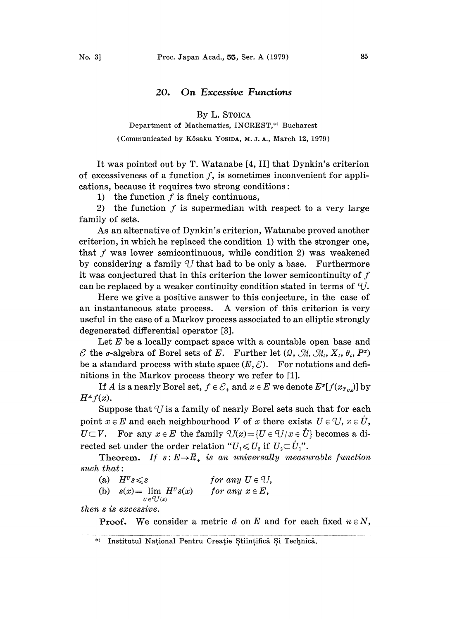## 20. On Excessive Functions

By L. STOICA

Department of Mathematics, INCREST,\* Bucharest

(Communicated by Kôsaku Yosina, M.J.A., March 12, 1979)

It was pointed out by T. Watanabe [4, II] that Dynkin's criterion of excessiveness of a function  $f$ , is sometimes inconvenient for applications, because it requires two strong conditions:

1) the function  $f$  is finely continuous,

2) the function  $f$  is supermedian with respect to a very large family of sets.

As an alternative of Dynkin's criterion, Watanabe proved another criterion, in which he replaced the condition 1) with the stronger one, that  $f$  was lower semicontinuous, while condition 2) was weakened by considering a family  $U$  that had to be only a base. Furthermore it was conjectured that in this criterion the lower semicontinuity of  $f$ can be replaced by a weaker continuity condition stated in terms of  $U$ .

Here we give a positive answer to this conjecture, in the case of an instantaneous state process. A version of this criterion is very useful in the case of a Markov process associated to an elliptic strongly degenerated differential operator [3].

Let  $E$  be a locally compact space with a countable open base and  $\mathscr E$  the *c*-algebra of Borel sets of E. Further let  $(\Omega, \mathscr M, \mathscr M_t, X_t, \theta_t, P^x)$ be a standard process with state space  $(E, \mathcal{E})$ . For notations and definitions in the Markov process theory we refer to [1].

If A is a nearly Borel set,  $f \in \mathcal{E}_+$  and  $x \in E$  we denote  $E^x[f(x_{T_{c}})]$  by  $H^A f(x)$ .

Suppose that  $U$  is a family of nearly Borel sets such that for each point  $x \in E$  and each neighbourhood V of x there exists  $U \in U$ ,  $x \in U$ ,  $U\subset V$ . For any  $x\in E$  the family  $U(x) = {U \in U/x \in U}$  becomes a directed set under the order relation " $U_1 \leq U_2$  if  $U_2 \subset U_1$ ".

Theorem. If  $s: E \rightarrow \overline{R}_+$  is an universally measurable function such that:

| (a) $H^{\text{U}}s \leq s$                                   | for any $U \in \mathcal{U}$ , |
|--------------------------------------------------------------|-------------------------------|
| (b) $s(x) = \lim H^{\nu} s(x)$<br>$U \in \mathcal{q}_{L}(x)$ | for any $x \in E$ ,           |

then s is excessive.

**Proof.** We consider a metric d on E and for each fixed  $n \in N$ ,

<sup>\*)</sup> Institutul National Pentru Creație Stiințifică Si Technică.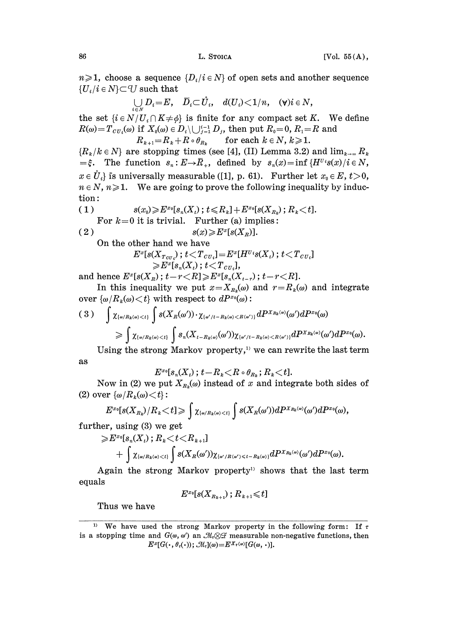$n\geqslant 1$ , choose a sequence  $\{D_i/i \in N\}$  of open sets and another sequence  ${U_i/i \in N} \subset U$  such that

$$
\bigcup_{i\in N} D_i = E, \quad \overline{D}_i \subset \dot{U}_i, \quad d(U_i) < 1/n, \quad (\forall) i \in N,
$$

the set  $\{i \in N/U_i \cap K \neq \emptyset\}$  is finite for any compact set K. We define  $R(\omega) = T_{CU_i}(\omega)$  if  $X_0(\omega) \in D_i \setminus \bigcup_{j=1}^{i-1} D_j$ , then put  $R_0 = 0$ ,  $R_1 = R$  and  $R_{k+1}=R_k+R\circ\theta_{R_k}$  for each  $k\in\mathbb{N}$ ,  $k\geqslant1$ .

 ${R_k / k \in N}$  are stopping times (see [4], (II) Lemma 3.2) and  $\lim_{k \to \infty} R_k$  $=\xi$ . The function  $s_n : E \to \overline{R}_+$ , defined by  $s_n(x) = \inf \{H^{U_i} s(x) / i \in N,$  $x \in \mathring{U}_i$  is universally measurable ([1], p. 61). Further let  $x_0 \in E$ ,  $t>0$ ,  $n \in N$ ,  $n \geqslant 1$ . We are going to prove the following inequality by induction:

(1) 
$$
s(x_0) \geqslant E^{x_0}[s_n(X_t); t \leqslant R_k] + E^{x_0}[s(X_{R_k}); R_k < t].
$$
  
For  $k=0$  it is trivial. Further (a) implies :  

$$
s(x) \geqslant E^x[s(X_k)].
$$

On the other hand we have

$$
\begin{array}{c}E^x [s(X_{\mathit{TOU}_i})\,;\, t\!<\!T_{\mathit{CU}_i}]\!=\!E^x[H^{U{\hskip.1em}\imath}s(X_t)\,;\, t\!<\!T_{\mathit{CU}_i}]\\\gg\!E^x [s_{\mathit{n}}(X_t)\,;\, t\!<\!T_{\mathit{CU}_i}],\end{array}
$$

and hence  $E^x[s(X_R); t - r \lt R] \geqslant E^x[s_n(X_{t - r}); t - r \lt R].$ 

In this inequality we put  $x=X_{R_k}(\omega)$  and  $r=R_k(\omega)$  and integrate over  $\{\omega/R_k(\omega) \leq t\}$  with respect to  $dP^{x_0}(\omega)$ :

$$
(3) \quad \int \chi_{\{\omega/R_k(\omega)
$$

Using the strong Markov property,<sup>11</sup> we can rewrite the last term as

$$
E^{x_0}[s_{\scriptscriptstyle n}(X_{\scriptscriptstyle t})\,;\,t\!-\!R_{\scriptscriptstyle k}\!<\!R\circ\theta_{R_{\scriptscriptstyle k}}\,;\,R_{\scriptscriptstyle k}\!<\!t].
$$

Now in (2) we put  $X_{R_k}(\omega)$  instead of x and integrate both sides of (2) over  $\{\omega/R_k(\omega) \leq t\}$ :

$$
E^{x_0}[s(X_{R_k})/R_k\!<\!t]\!\geqslant\int \chi_{\{\omega/R_k(\omega)\!<\!t\}}\int s(X_{R}(\omega'))dP^{x_{R_k}(\omega)}(\omega')dP^{x_0}(\omega),
$$

further, using (3) we get

$$
\geqslant E^{x_0}[s_n(X_t); R_k < t < R_{k+1}] \\ \hspace{1cm} + \int \chi_{\{\omega/R_k(\omega) < t\}} \int s(X_R(\omega')) \chi_{\{\omega'/R(\omega') \leqslant t - R_k(\omega)\}} dP^{X_{R_k(\omega)}}(\omega') dP^{x_0}(\omega) .
$$

Again the strong Markov property<sup>1)</sup> shows that the last term equals

$$
E^{x_0}[s(X_{R_{k+1}}); R_{k+1} \leqslant t]
$$

Thus we have

<sup>&</sup>lt;sup>1)</sup> We have used the strong Markov property in the following form: If  $\tau$ <sup>1)</sup> We have used the strong Markov property in the following form: If  $\tau$  is a stopping time and  $G(\omega, \omega')$  an  $\mathcal{M}_\tau \otimes \mathcal{F}$  measurable non-negative functions, then  $E^x[G(\cdot, \theta_\tau(\cdot)); \mathcal{M}_\tau](\omega) = E^{X_\tau(\omega)}[G(\omega, \cdot)].$  $E^x[G(\cdot,\theta_{\tau}(\cdot)); \mathcal{M}_\tau](\omega) = E^{X_{\tau}(\omega)}[G(\omega,\cdot)].$